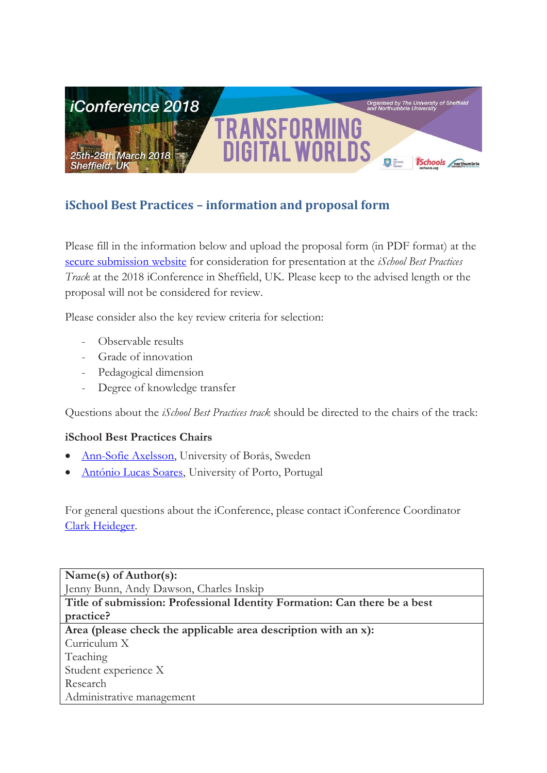

# **iSchool Best Practices – information and proposal form**

Please fill in the information below and upload the proposal form (in PDF format) at the [secure submission website](https://www.conftool.com/iconference2018/index.php?page=login) for consideration for presentation at the *iSchool Best Practices Track* at the 2018 iConference in Sheffield, UK. Please keep to the advised length or the proposal will not be considered for review.

Please consider also the key review criteria for selection:

- Observable results
- Grade of innovation
- Pedagogical dimension
- Degree of knowledge transfer

Questions about the *iSchool Best Practices track* should be directed to the chairs of the track:

# **iSchool Best Practices Chairs**

- [Ann-Sofie Axelsson,](mailto:Ann-Sofie.Axelsson@hb.se) University of Borås, Sweden
- [António Lucas Soares,](mailto:als@fe.up.pt) University of Porto, Portugal

For general questions about the iConference, please contact iConference Coordinator [Clark Heideger.](mailto:clark@ischools.org)

**Name(s) of Author(s):** Jenny Bunn, Andy Dawson, Charles Inskip **Title of submission: Professional Identity Formation: Can there be a best practice? Area (please check the applicable area description with an x):** Curriculum X Teaching Student experience X Research Administrative management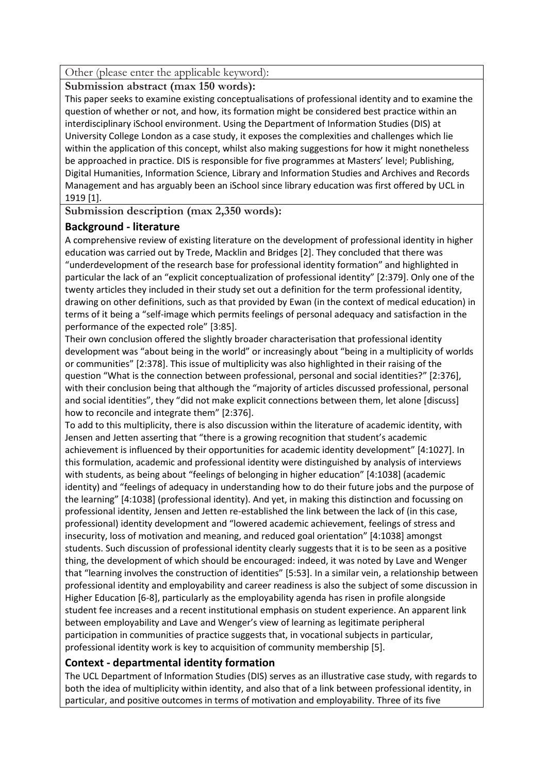Other (please enter the applicable keyword):

**Submission abstract (max 150 words):**

This paper seeks to examine existing conceptualisations of professional identity and to examine the question of whether or not, and how, its formation might be considered best practice within an interdisciplinary iSchool environment. Using the Department of Information Studies (DIS) at University College London as a case study, it exposes the complexities and challenges which lie within the application of this concept, whilst also making suggestions for how it might nonetheless be approached in practice. DIS is responsible for five programmes at Masters' level; Publishing, Digital Humanities, Information Science, Library and Information Studies and Archives and Records Management and has arguably been an iSchool since library education was first offered by UCL in 1919 [1].

**Submission description (max 2,350 words):**

## **Background - literature**

A comprehensive review of existing literature on the development of professional identity in higher education was carried out by Trede, Macklin and Bridges [2]. They concluded that there was "underdevelopment of the research base for professional identity formation" and highlighted in particular the lack of an "explicit conceptualization of professional identity" [2:379]. Only one of the twenty articles they included in their study set out a definition for the term professional identity, drawing on other definitions, such as that provided by Ewan (in the context of medical education) in terms of it being a "self-image which permits feelings of personal adequacy and satisfaction in the performance of the expected role" [3:85].

Their own conclusion offered the slightly broader characterisation that professional identity development was "about being in the world" or increasingly about "being in a multiplicity of worlds or communities" [2:378]. This issue of multiplicity was also highlighted in their raising of the question "What is the connection between professional, personal and social identities?" [2:376], with their conclusion being that although the "majority of articles discussed professional, personal and social identities", they "did not make explicit connections between them, let alone [discuss] how to reconcile and integrate them" [2:376].

To add to this multiplicity, there is also discussion within the literature of academic identity, with Jensen and Jetten asserting that "there is a growing recognition that student's academic achievement is influenced by their opportunities for academic identity development" [4:1027]. In this formulation, academic and professional identity were distinguished by analysis of interviews with students, as being about "feelings of belonging in higher education" [4:1038] (academic identity) and "feelings of adequacy in understanding how to do their future jobs and the purpose of the learning" [4:1038] (professional identity). And yet, in making this distinction and focussing on professional identity, Jensen and Jetten re-established the link between the lack of (in this case, professional) identity development and "lowered academic achievement, feelings of stress and insecurity, loss of motivation and meaning, and reduced goal orientation" [4:1038] amongst students. Such discussion of professional identity clearly suggests that it is to be seen as a positive thing, the development of which should be encouraged: indeed, it was noted by Lave and Wenger that "learning involves the construction of identities" [5:53]. In a similar vein, a relationship between professional identity and employability and career readiness is also the subject of some discussion in Higher Education [6-8], particularly as the employability agenda has risen in profile alongside student fee increases and a recent institutional emphasis on student experience. An apparent link between employability and Lave and Wenger's view of learning as legitimate peripheral participation in communities of practice suggests that, in vocational subjects in particular, professional identity work is key to acquisition of community membership [5].

## **Context - departmental identity formation**

The UCL Department of Information Studies (DIS) serves as an illustrative case study, with regards to both the idea of multiplicity within identity, and also that of a link between professional identity, in particular, and positive outcomes in terms of motivation and employability. Three of its five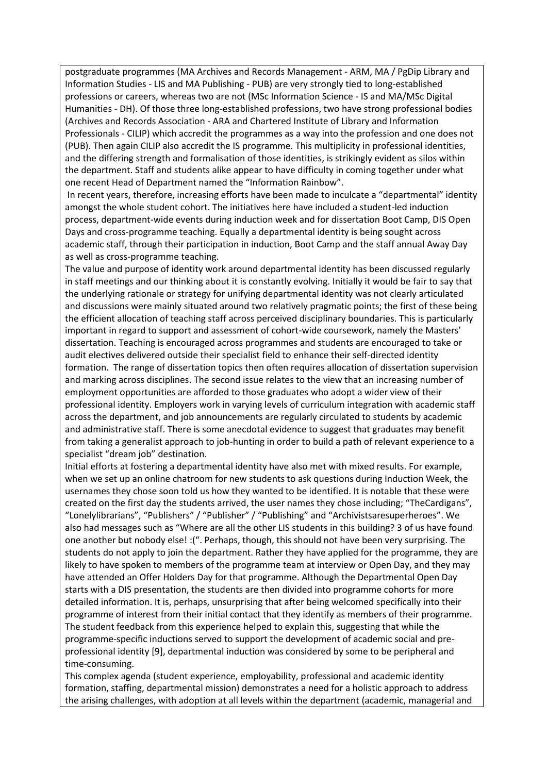postgraduate programmes (MA Archives and Records Management - ARM, MA / PgDip Library and Information Studies - LIS and MA Publishing - PUB) are very strongly tied to long-established professions or careers, whereas two are not (MSc Information Science - IS and MA/MSc Digital Humanities - DH). Of those three long-established professions, two have strong professional bodies (Archives and Records Association - ARA and Chartered Institute of Library and Information Professionals - CILIP) which accredit the programmes as a way into the profession and one does not (PUB). Then again CILIP also accredit the IS programme. This multiplicity in professional identities, and the differing strength and formalisation of those identities, is strikingly evident as silos within the department. Staff and students alike appear to have difficulty in coming together under what one recent Head of Department named the "Information Rainbow".

In recent years, therefore, increasing efforts have been made to inculcate a "departmental" identity amongst the whole student cohort. The initiatives here have included a student-led induction process, department-wide events during induction week and for dissertation Boot Camp, DIS Open Days and cross-programme teaching. Equally a departmental identity is being sought across academic staff, through their participation in induction, Boot Camp and the staff annual Away Day as well as cross-programme teaching.

The value and purpose of identity work around departmental identity has been discussed regularly in staff meetings and our thinking about it is constantly evolving. Initially it would be fair to say that the underlying rationale or strategy for unifying departmental identity was not clearly articulated and discussions were mainly situated around two relatively pragmatic points; the first of these being the efficient allocation of teaching staff across perceived disciplinary boundaries. This is particularly important in regard to support and assessment of cohort-wide coursework, namely the Masters' dissertation. Teaching is encouraged across programmes and students are encouraged to take or audit electives delivered outside their specialist field to enhance their self-directed identity formation. The range of dissertation topics then often requires allocation of dissertation supervision and marking across disciplines. The second issue relates to the view that an increasing number of employment opportunities are afforded to those graduates who adopt a wider view of their professional identity. Employers work in varying levels of curriculum integration with academic staff across the department, and job announcements are regularly circulated to students by academic and administrative staff. There is some anecdotal evidence to suggest that graduates may benefit from taking a generalist approach to job-hunting in order to build a path of relevant experience to a specialist "dream job" destination.

Initial efforts at fostering a departmental identity have also met with mixed results. For example, when we set up an online chatroom for new students to ask questions during Induction Week, the usernames they chose soon told us how they wanted to be identified. It is notable that these were created on the first day the students arrived, the user names they chose including; "TheCardigans", "Lonelylibrarians", "Publishers" / "Publisher" / "Publishing" and "Archivistsaresuperheroes". We also had messages such as "Where are all the other LIS students in this building? 3 of us have found one another but nobody else! :(". Perhaps, though, this should not have been very surprising. The students do not apply to join the department. Rather they have applied for the programme, they are likely to have spoken to members of the programme team at interview or Open Day, and they may have attended an Offer Holders Day for that programme. Although the Departmental Open Day starts with a DIS presentation, the students are then divided into programme cohorts for more detailed information. It is, perhaps, unsurprising that after being welcomed specifically into their programme of interest from their initial contact that they identify as members of their programme. The student feedback from this experience helped to explain this, suggesting that while the programme-specific inductions served to support the development of academic social and preprofessional identity [9], departmental induction was considered by some to be peripheral and time-consuming.

This complex agenda (student experience, employability, professional and academic identity formation, staffing, departmental mission) demonstrates a need for a holistic approach to address the arising challenges, with adoption at all levels within the department (academic, managerial and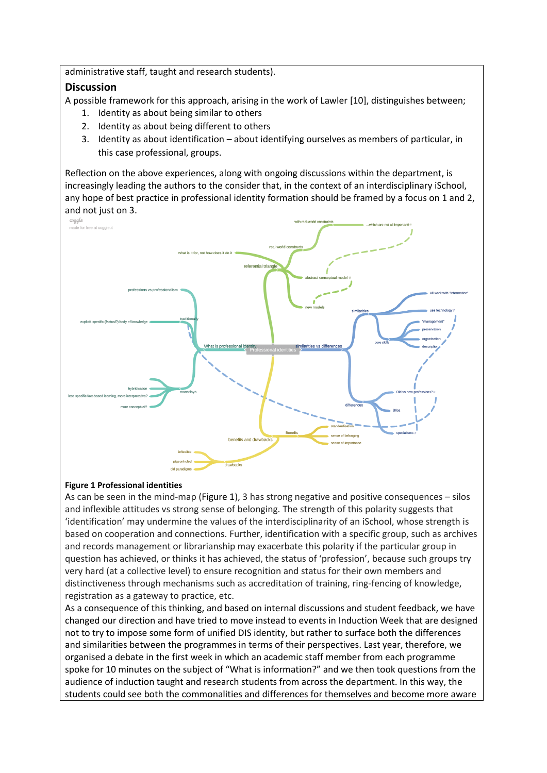administrative staff, taught and research students).

#### **Discussion**

A possible framework for this approach, arising in the work of Lawler [10], distinguishes between;

- 1. Identity as about being similar to others
- 2. Identity as about being different to others
- 3. Identity as about identification about identifying ourselves as members of particular, in this case professional, groups.

Reflection on the above experiences, along with ongoing discussions within the department, is increasingly leading the authors to the consider that, in the context of an interdisciplinary iSchool, any hope of best practice in professional identity formation should be framed by a focus on 1 and 2, and not just on 3.



#### <span id="page-3-0"></span>**Figure 1 Professional identities**

As can be seen in the mind-map [\(Figure 1\)](#page-3-0), 3 has strong negative and positive consequences – silos and inflexible attitudes vs strong sense of belonging. The strength of this polarity suggests that 'identification' may undermine the values of the interdisciplinarity of an iSchool, whose strength is based on cooperation and connections. Further, identification with a specific group, such as archives and records management or librarianship may exacerbate this polarity if the particular group in question has achieved, or thinks it has achieved, the status of 'profession', because such groups try very hard (at a collective level) to ensure recognition and status for their own members and distinctiveness through mechanisms such as accreditation of training, ring-fencing of knowledge, registration as a gateway to practice, etc.

As a consequence of this thinking, and based on internal discussions and student feedback, we have changed our direction and have tried to move instead to events in Induction Week that are designed not to try to impose some form of unified DIS identity, but rather to surface both the differences and similarities between the programmes in terms of their perspectives. Last year, therefore, we organised a debate in the first week in which an academic staff member from each programme spoke for 10 minutes on the subject of "What is information?" and we then took questions from the audience of induction taught and research students from across the department. In this way, the students could see both the commonalities and differences for themselves and become more aware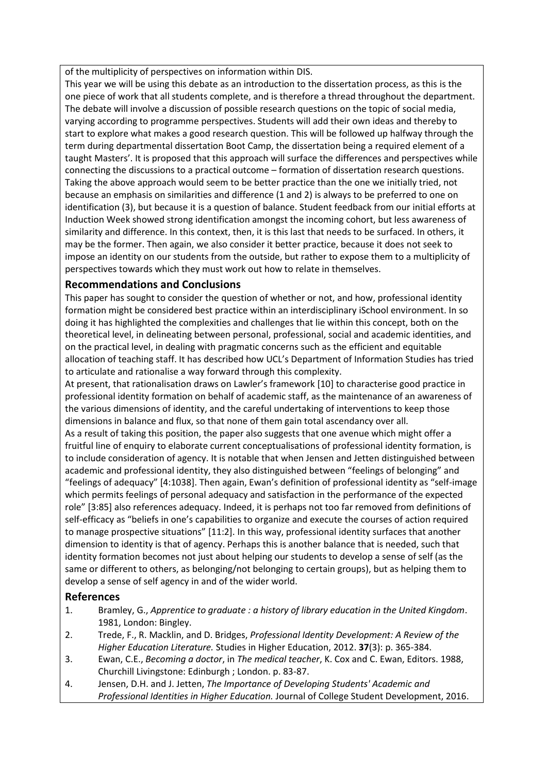of the multiplicity of perspectives on information within DIS.

This year we will be using this debate as an introduction to the dissertation process, as this is the one piece of work that all students complete, and is therefore a thread throughout the department. The debate will involve a discussion of possible research questions on the topic of social media, varying according to programme perspectives. Students will add their own ideas and thereby to start to explore what makes a good research question. This will be followed up halfway through the term during departmental dissertation Boot Camp, the dissertation being a required element of a taught Masters'. It is proposed that this approach will surface the differences and perspectives while connecting the discussions to a practical outcome – formation of dissertation research questions. Taking the above approach would seem to be better practice than the one we initially tried, not because an emphasis on similarities and difference (1 and 2) is always to be preferred to one on identification (3), but because it is a question of balance. Student feedback from our initial efforts at Induction Week showed strong identification amongst the incoming cohort, but less awareness of similarity and difference. In this context, then, it is this last that needs to be surfaced. In others, it may be the former. Then again, we also consider it better practice, because it does not seek to impose an identity on our students from the outside, but rather to expose them to a multiplicity of perspectives towards which they must work out how to relate in themselves.

#### **Recommendations and Conclusions**

This paper has sought to consider the question of whether or not, and how, professional identity formation might be considered best practice within an interdisciplinary iSchool environment. In so doing it has highlighted the complexities and challenges that lie within this concept, both on the theoretical level, in delineating between personal, professional, social and academic identities, and on the practical level, in dealing with pragmatic concerns such as the efficient and equitable allocation of teaching staff. It has described how UCL's Department of Information Studies has tried to articulate and rationalise a way forward through this complexity.

At present, that rationalisation draws on Lawler's framework [10] to characterise good practice in professional identity formation on behalf of academic staff, as the maintenance of an awareness of the various dimensions of identity, and the careful undertaking of interventions to keep those dimensions in balance and flux, so that none of them gain total ascendancy over all.

As a result of taking this position, the paper also suggests that one avenue which might offer a fruitful line of enquiry to elaborate current conceptualisations of professional identity formation, is to include consideration of agency. It is notable that when Jensen and Jetten distinguished between academic and professional identity, they also distinguished between "feelings of belonging" and "feelings of adequacy" [4:1038]. Then again, Ewan's definition of professional identity as "self-image which permits feelings of personal adequacy and satisfaction in the performance of the expected role" [3:85] also references adequacy. Indeed, it is perhaps not too far removed from definitions of self-efficacy as "beliefs in one's capabilities to organize and execute the courses of action required to manage prospective situations" [11:2]. In this way, professional identity surfaces that another dimension to identity is that of agency. Perhaps this is another balance that is needed, such that identity formation becomes not just about helping our students to develop a sense of self (as the same or different to others, as belonging/not belonging to certain groups), but as helping them to develop a sense of self agency in and of the wider world.

#### **References**

- 1. Bramley, G., *Apprentice to graduate : a history of library education in the United Kingdom*. 1981, London: Bingley.
- 2. Trede, F., R. Macklin, and D. Bridges, *Professional Identity Development: A Review of the Higher Education Literature.* Studies in Higher Education, 2012. **37**(3): p. 365-384.
- 3. Ewan, C.E., *Becoming a doctor*, in *The medical teacher*, K. Cox and C. Ewan, Editors. 1988, Churchill Livingstone: Edinburgh ; London. p. 83-87.
- 4. Jensen, D.H. and J. Jetten, *The Importance of Developing Students' Academic and Professional Identities in Higher Education.* Journal of College Student Development, 2016.